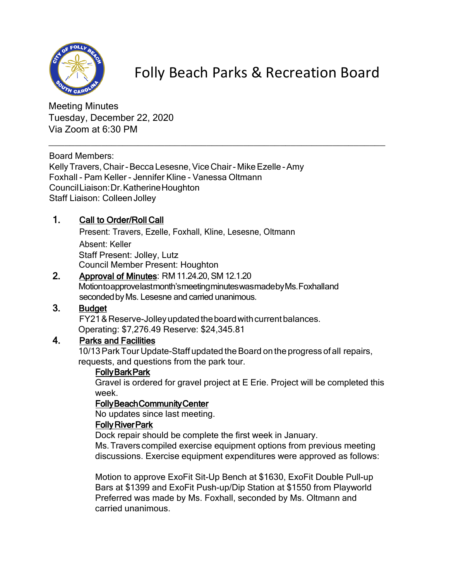

Folly Beach Parks & Recreation Board

Meeting Minutes Tuesday, December 22, 2020 Via Zoom at 6:30 PM

Board Members:

Kelly Travers, Chair - Becca Lesesne, Vice Chair - Mike Ezelle - Amy Foxhall - Pam Keller - Jennifer Kline - Vanessa Oltmann CouncilLiaison:Dr.KatherineHoughton Staff Liaison: Colleen Jolley

## 1. Call to Order/Roll Call

Present: Travers, Ezelle, Foxhall, Kline, Lesesne, Oltmann Absent: Keller Staff Present: Jolley, Lutz Council Member Present: Houghton

# 2. Approval of Minutes: RM11.24.20, SM 12.1.20

Motiontoapprovelastmonth'smeetingminuteswasmadebyMs.Foxhalland seconded by Ms. Lesesne and carried unanimous.

\_\_\_\_\_\_\_\_\_\_\_\_\_\_\_\_\_\_\_\_\_\_\_\_\_\_\_\_\_\_\_\_\_\_\_\_\_\_\_\_\_\_\_\_\_\_\_\_\_\_\_\_\_\_\_\_\_\_\_\_\_\_\_\_

### 3. Budget

FY21 & Reserve-Jolley updated the board with current balances. Operating: \$7,276.49 Reserve: \$24,345.81

## 4. Parks and Facilities

10/13 Park Tour Update-Staff updated the Board on the progress of all repairs, requests, and questions from the park tour.

### **Folly Bark Park**

Gravel is ordered for gravel project at E Erie. Project will be completed this week.

### Folly Beach Community Center

No updates since last meeting.

### Folly River Park

Dock repair should be complete the first week in January. Ms.Travers compiled exercise equipment options from previous meeting discussions. Exercise equipment expenditures were approved as follows:

Motion to approve ExoFit Sit-Up Bench at \$1630, ExoFit Double Pull-up Bars at \$1399 and ExoFit Push-up/Dip Station at \$1550 from Playworld Preferred was made by Ms. Foxhall, seconded by Ms. Oltmann and carried unanimous.